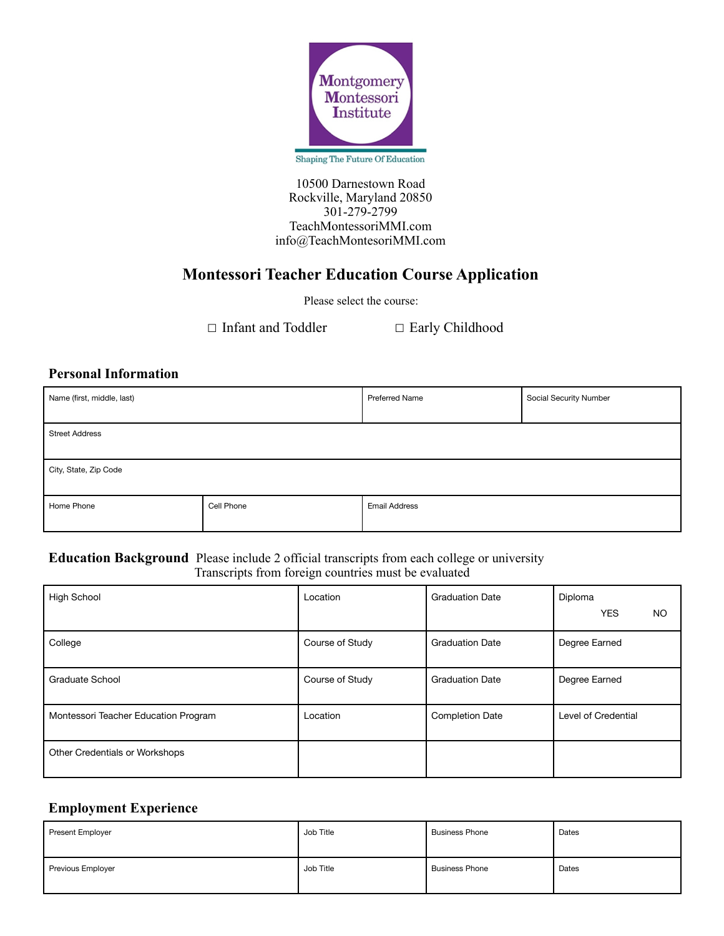

Shaping The Future Of Education

10500 Darnestown Road Rockville, Maryland 20850 301-279-2799 TeachMontessoriMMI.com info@TeachMontesoriMMI.com

# **Montessori Teacher Education Course Application**

Please select the course:

☐ Infant and Toddler ☐ Early Childhood

## **Personal Information**

| Name (first, middle, last) |            | <b>Preferred Name</b> | Social Security Number |  |
|----------------------------|------------|-----------------------|------------------------|--|
| <b>Street Address</b>      |            |                       |                        |  |
| City, State, Zip Code      |            |                       |                        |  |
| Home Phone                 | Cell Phone | <b>Email Address</b>  |                        |  |

#### **Education Background** Please include 2 official transcripts from each college or university Transcripts from foreign countries must be evaluated

| <b>High School</b>                   | Location        | <b>Graduation Date</b> | Diploma<br><b>YES</b><br>NO. |
|--------------------------------------|-----------------|------------------------|------------------------------|
| College                              | Course of Study | <b>Graduation Date</b> | Degree Earned                |
| Graduate School                      | Course of Study | <b>Graduation Date</b> | Degree Earned                |
| Montessori Teacher Education Program | Location        | <b>Completion Date</b> | Level of Credential          |
| Other Credentials or Workshops       |                 |                        |                              |

## **Employment Experience**

| <b>Present Employer</b> | Job Title | <b>Business Phone</b> | Dates |
|-------------------------|-----------|-----------------------|-------|
| Previous Employer       | Job Title | <b>Business Phone</b> | Dates |